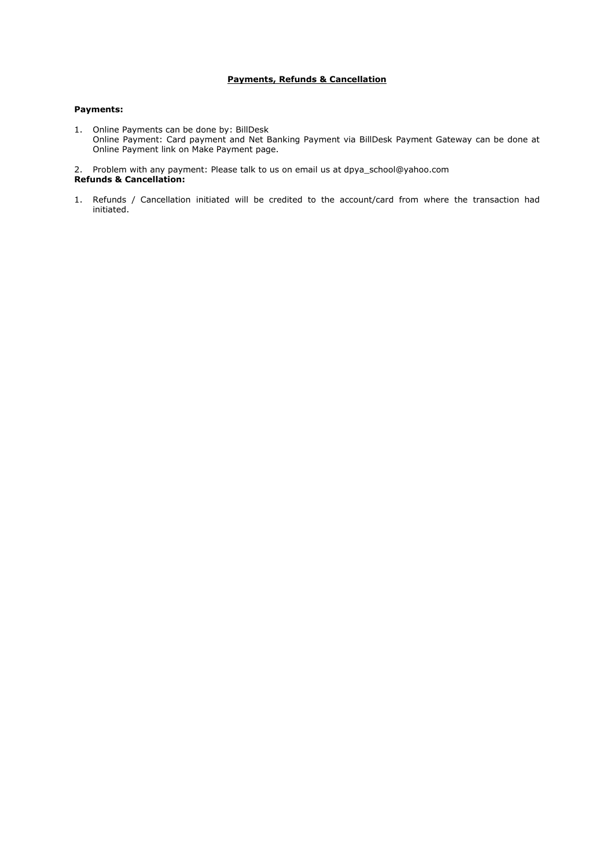# **Payments, Refunds & Cancellation**

# **Payments:**

1. Online Payments can be done by: BillDesk Online Payment: Card payment and Net Banking Payment via BillDesk Payment Gateway can be done at Online Payment link on [Make Payment](http://www.mahahp.org/Make_Payment.aspx) page.

2. Problem with any payment: Please talk to us on email us at dpya\_school@yahoo.com **Refunds & Cancellation:**

1. Refunds / Cancellation initiated will be credited to the account/card from where the transaction had initiated.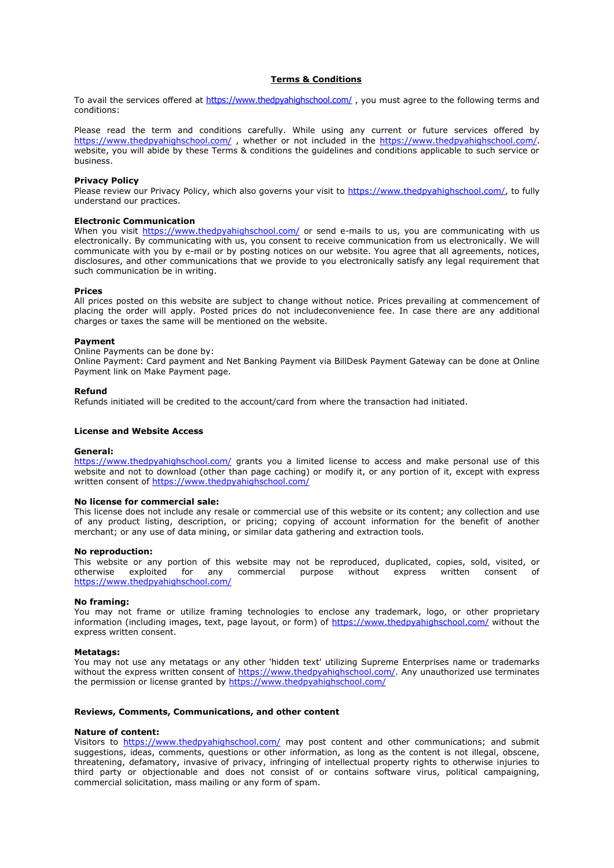# **Terms & Conditions**

To avail the services offered at [https://www.thedpyahighschool.com/](http://www.ylp.co.in/), you must agree to the following terms and conditions:

Please read the term and conditions carefully. While using any current or future services offered by [https://www.thedpyahighschool.com/](http://www.ylp.co.in/) , whether or not included in the [https://www.thedpyahighschool.com/](http://www.bnca.ac.in/). website, you will abide by these Terms & conditions the guidelines and conditions applicable to such service or business.

### **Privacy Policy**

Please review our Privacy Policy, which also governs your visit to [https://www.thedpyahighschool.com/,](http://www.bnca.ac.in/) to fully understand our practices.

# **Electronic Communication**

When you visit [https://www.thedpyahighschool.com/](http://www.bnca.ac.in/) or send e-mails to us, you are communicating with us electronically. By communicating with us, you consent to receive communication from us electronically. We will communicate with you by e-mail or by posting notices on our website. You agree that all agreements, notices, disclosures, and other communications that we provide to you electronically satisfy any legal requirement that such communication be in writing.

#### **Prices**

All prices posted on this website are subject to change without notice. Prices prevailing at commencement of placing the order will apply. Posted prices do not includeconvenience fee. In case there are any additional charges or taxes the same will be mentioned on the website.

#### **Payment**

Online Payments can be done by:

Online Payment: Card payment and Net Banking Payment via BillDesk Payment Gateway can be done at Online Payment link on [Make Payment](http://www.mahahp.org/Make_Payment.aspx) page.

#### **Refund**

Refunds initiated will be credited to the account/card from where the transaction had initiated.

### **License and Website Access**

#### **General:**

[https://www.thedpyahighschool.com/](http://www.bnca.ac.in/) grants you a limited license to access and make personal use of this website and not to download (other than page caching) or modify it, or any portion of it, except with express written consent of [https://www.thedpyahighschool.com/](http://www.bnca.ac.in/)

#### **No license for commercial sale:**

This license does not include any resale or commercial use of this website or its content; any collection and use of any product listing, description, or pricing; copying of account information for the benefit of another merchant; or any use of data mining, or similar data gathering and extraction tools.

#### **No reproduction:**

This website or any portion of this website may not be reproduced, duplicated, copies, sold, visited, or otherwise exploited for any commercial purpose without express written consent of [https://www.thedpyahighschool.com/](http://www.bnca.ac.in/)

#### **No framing:**

You may not frame or utilize framing technologies to enclose any trademark, logo, or other proprietary information (including images, text, page layout, or form) of [https://www.thedpyahighschool.com/](http://www.bnca.ac.in/) without the express written consent.

#### **Metatags:**

You may not use any metatags or any other 'hidden text' utilizing Supreme Enterprises name or trademarks without the express written consent of [https://www.thedpyahighschool.com/.](http://www.bnca.ac.in/) Any unauthorized use terminates the permission or license granted by [https://www.thedpyahighschool.com/](http://www.bnca.ac.in/)

## **Reviews, Comments, Communications, and other content**

#### **Nature of content:**

Visitors to [https://www.thedpyahighschool.com/](http://www.bnca.ac.in/) may post content and other communications; and submit suggestions, ideas, comments, questions or other information, as long as the content is not illegal, obscene, threatening, defamatory, invasive of privacy, infringing of intellectual property rights to otherwise injuries to third party or objectionable and does not consist of or contains software virus, political campaigning, commercial solicitation, mass mailing or any form of spam.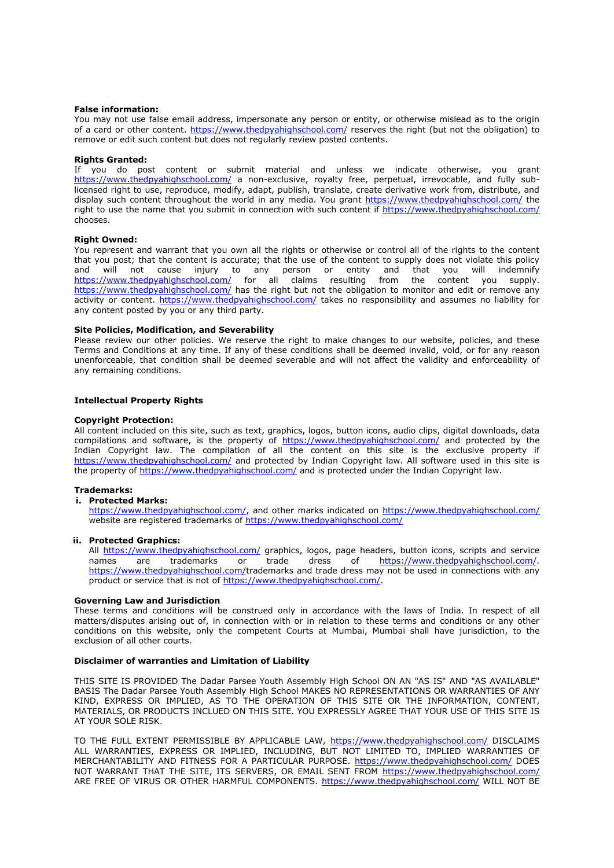## **False information:**

You may not use false email address, impersonate any person or entity, or otherwise mislead as to the origin of a card or other content. [https://www.thedpyahighschool.com/](http://www.bnca.ac.in/) reserves the right (but not the obligation) to remove or edit such content but does not regularly review posted contents.

## **Rights Granted:**

If you do post content or submit material and unless we indicate otherwise, you grant [https://www.thedpyahighschool.com/](http://www.bnca.ac.in/) a non-exclusive, royalty free, perpetual, irrevocable, and fully sublicensed right to use, reproduce, modify, adapt, publish, translate, create derivative work from, distribute, and display such content throughout the world in any media. You grant [https://www.thedpyahighschool.com/](http://www.bnca.ac.in/) the right to use the name that you submit in connection with such content if [https://www.thedpyahighschool.com/](http://www.bnca.ac.in/) chooses.

## **Right Owned:**

You represent and warrant that you own all the rights or otherwise or control all of the rights to the content that you post; that the content is accurate; that the use of the content to supply does not violate this policy and will not cause injury to any person or entity and that you will indemnify [https://www.thedpyahighschool.com/](http://www.bnca.ac.in/) for all claims resulting from the content you supply. [https://www.thedpyahighschool.com/](http://www.bnca.ac.in/) has the right but not the obligation to monitor and edit or remove any activity or content. [https://www.thedpyahighschool.com/](http://www.bnca.ac.in/) takes no responsibility and assumes no liability for any content posted by you or any third party.

# **Site Policies, Modification, and Severability**

Please review our other policies. We reserve the right to make changes to our website, policies, and these Terms and Conditions at any time. If any of these conditions shall be deemed invalid, void, or for any reason unenforceable, that condition shall be deemed severable and will not affect the validity and enforceability of any remaining conditions.

# **Intellectual Property Rights**

## **Copyright Protection:**

All content included on this site, such as text, graphics, logos, button icons, audio clips, digital downloads, data compilations and software, is the property of [https://www.thedpyahighschool.com/](http://www.bnca.ac.in/) and protected by the Indian Copyright law. The compilation of all the content on this site is the exclusive property if [https://www.thedpyahighschool.com/](http://www.mahahp.org/) and protected by Indian Copyright law. All software used in this site is the property of [https://www.thedpyahighschool.com/](http://www.mahahp.org/) and is protected under the Indian Copyright law.

## **Trademarks:**

# **i. Protected Marks:**

[https://www.thedpyahighschool.com/,](http://www.mahahp.org/) and other marks indicated on [https://www.thedpyahighschool.com/](http://www.mahahp.org/) website are registered trademarks of [https://www.thedpyahighschool.com/](http://www.mahahp.org/)

## **ii. Protected Graphics:**

All [https://www.thedpyahighschool.com/](http://www.mahahp.org/) graphics, logos, page headers, button icons, scripts and service names are trademarks or trade dress of [https://www.thedpyahighschool.com/.](http://www.mahahp.org/) [https://www.thedpyahighschool.com/t](http://www.mahahp.org/)rademarks and trade dress may not be used in connections with any product or service that is not of [https://www.thedpyahighschool.com/.](http://www.mahahp.org/)

# **Governing Law and Jurisdiction**

These terms and conditions will be construed only in accordance with the laws of India. In respect of all matters/disputes arising out of, in connection with or in relation to these terms and conditions or any other conditions on this website, only the competent Courts at Mumbai, Mumbai shall have jurisdiction, to the exclusion of all other courts.

# **Disclaimer of warranties and Limitation of Liability**

THIS SITE IS PROVIDED The Dadar Parsee Youth Assembly High School ON AN "AS IS" AND "AS AVAILABLE" BASIS The Dadar Parsee Youth Assembly High School MAKES NO REPRESENTATIONS OR WARRANTIES OF ANY KIND, EXPRESS OR IMPLIED, AS TO THE OPERATION OF THIS SITE OR THE INFORMATION, CONTENT, MATERIALS, OR PRODUCTS INCLUED ON THIS SITE. YOU EXPRESSLY AGREE THAT YOUR USE OF THIS SITE IS AT YOUR SOLE RISK.

TO THE FULL EXTENT PERMISSIBLE BY APPLICABLE LAW, [https://www.thedpyahighschool.com/](http://www.mahahp.org/) DISCLAIMS ALL WARRANTIES, EXPRESS OR IMPLIED, INCLUDING, BUT NOT LIMITED TO, IMPLIED WARRANTIES OF MERCHANTABILITY AND FITNESS FOR A PARTICULAR PURPOSE. [https://www.thedpyahighschool.com/](http://www.mahahp.org/) DOES NOT WARRANT THAT THE SITE, ITS SERVERS, OR EMAIL SENT FROM [https://www.thedpyahighschool.com/](http://www.mahahp.org/) ARE FREE OF VIRUS OR OTHER HARMFUL COMPONENTS. [https://www.thedpyahighschool.com/](http://www.mahahp.org/) WILL NOT BE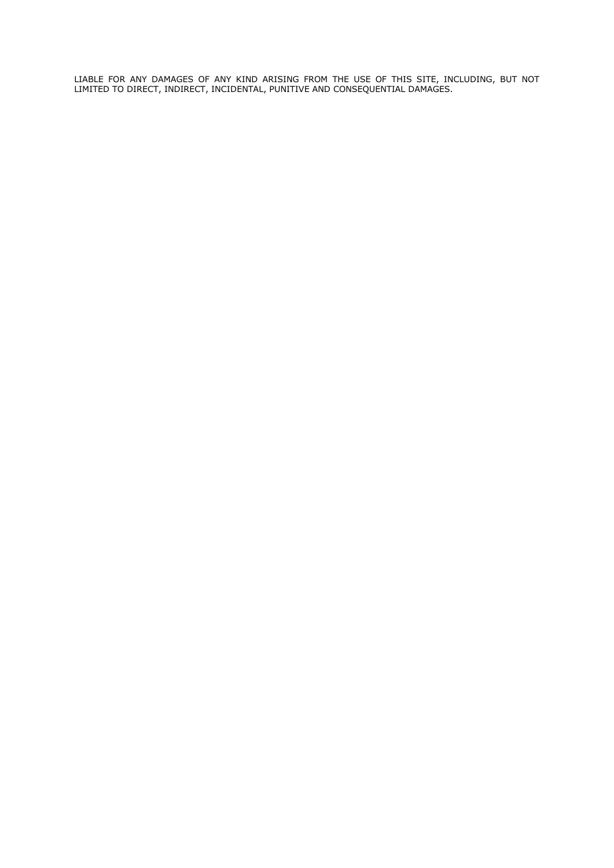LIABLE FOR ANY DAMAGES OF ANY KIND ARISING FROM THE USE OF THIS SITE, INCLUDING, BUT NOT LIMITED TO DIRECT, INDIRECT, INCIDENTAL, PUNITIVE AND CONSEQUENTIAL DAMAGES.